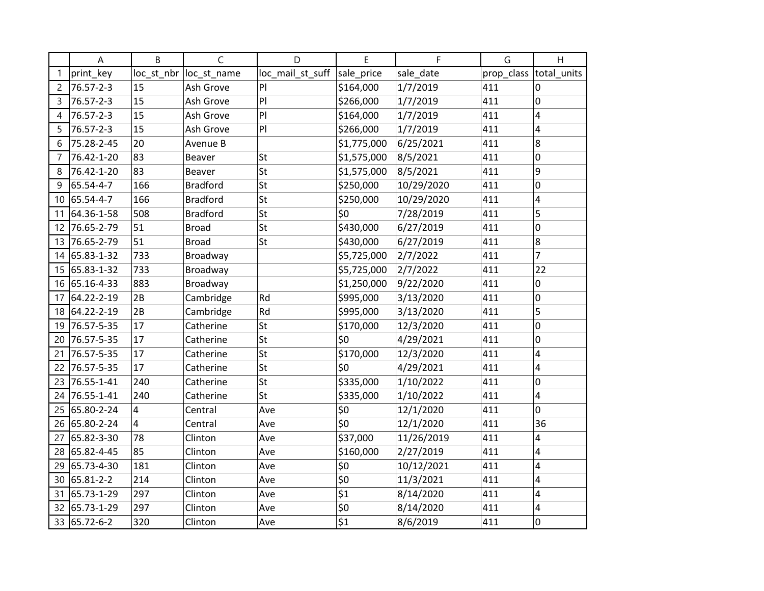|    | A             | B               | C               | D                | E                | F          | G          | H              |
|----|---------------|-----------------|-----------------|------------------|------------------|------------|------------|----------------|
|    | print_key     | loc_st_nbr      | loc_st_name     | loc_mail_st_suff | sale_price       | sale_date  | prop_class | total_units    |
| 2  | 76.57-2-3     | 15              | Ash Grove       | PI               | \$164,000        | 1/7/2019   | 411        | $\Omega$       |
| 3  | 76.57-2-3     | 15              | Ash Grove       | PI               | \$266,000        | 1/7/2019   | 411        | 0              |
| 4  | 76.57-2-3     | 15              | Ash Grove       | PI               | \$164,000        | 1/7/2019   | 411        | 4              |
| 5  | 76.57-2-3     | $\overline{15}$ | Ash Grove       | PI               | \$266,000        | 1/7/2019   | 411        | 4              |
| 6  | 75.28-2-45    | 20              | Avenue B        |                  | \$1,775,000      | 6/25/2021  | 411        | 8              |
|    | 76.42-1-20    | 83              | Beaver          | St               | \$1,575,000      | 8/5/2021   | 411        | 0              |
| 8  | 76.42-1-20    | 83              | <b>Beaver</b>   | St               | \$1,575,000      | 8/5/2021   | 411        | 9              |
| 9  | 65.54-4-7     | 166             | <b>Bradford</b> | St               | \$250,000        | 10/29/2020 | 411        | 0              |
|    | 10 65.54-4-7  | 166             | <b>Bradford</b> | St               | \$250,000        | 10/29/2020 | 411        | 4              |
| 11 | 64.36-1-58    | 508             | <b>Bradford</b> | St               | \$0              | 7/28/2019  | 411        | 5              |
| 12 | 76.65-2-79    | 51              | <b>Broad</b>    | St               | \$430,000        | 6/27/2019  | 411        | 0              |
| 13 | 76.65-2-79    | 51              | <b>Broad</b>    | St               | \$430,000        | 6/27/2019  | 411        | 8              |
|    | 14 65.83-1-32 | 733             | Broadway        |                  | \$5,725,000      | 2/7/2022   | 411        | $\overline{7}$ |
|    | 15 65.83-1-32 | 733             | Broadway        |                  | \$5,725,000      | 2/7/2022   | 411        | 22             |
|    | 16 65.16-4-33 | 883             | Broadway        |                  | \$1,250,000      | 9/22/2020  | 411        | 0              |
| 17 | 64.22-2-19    | 2B              | Cambridge       | Rd               | \$995,000        | 3/13/2020  | 411        | 0              |
|    | 18 64.22-2-19 | 2B              | Cambridge       | Rd               | \$995,000        | 3/13/2020  | 411        | 5              |
| 19 | 76.57-5-35    | 17              | Catherine       | St               | \$170,000        | 12/3/2020  | 411        | 0              |
| 20 | 76.57-5-35    | 17              | Catherine       | St               | \$0              | 4/29/2021  | 411        | 0              |
| 21 | 76.57-5-35    | 17              | Catherine       | St               | \$170,000        | 12/3/2020  | 411        | 4              |
| 22 | 76.57-5-35    | 17              | Catherine       | St               | \$0              | 4/29/2021  | 411        | 4              |
| 23 | 76.55-1-41    | 240             | Catherine       | St               | \$335,000        | 1/10/2022  | 411        | 0              |
| 24 | 76.55-1-41    | 240             | Catherine       | St               | \$335,000        | 1/10/2022  | 411        | 4              |
| 25 | 65.80-2-24    | 4               | Central         | Ave              | \$0              | 12/1/2020  | 411        | 0              |
|    | 26 65.80-2-24 | 4               | Central         | Ave              | \$0              | 12/1/2020  | 411        | 36             |
| 27 | 65.82-3-30    | 78              | Clinton         | Ave              | \$37,000         | 11/26/2019 | 411        | $\overline{4}$ |
|    | 28 65.82-4-45 | 85              | Clinton         | Ave              | \$160,000        | 2/27/2019  | 411        | 4              |
| 29 | 65.73-4-30    | 181             | Clinton         | Ave              | \$0              | 10/12/2021 | 411        | 4              |
|    | 30 65.81-2-2  | 214             | Clinton         | Ave              | \$0              | 11/3/2021  | 411        | 4              |
| 31 | 65.73-1-29    | 297             | Clinton         | Ave              | $\overline{\$1}$ | 8/14/2020  | 411        | 4              |
| 32 | 65.73-1-29    | 297             | Clinton         | Ave              | \$0              | 8/14/2020  | 411        | 4              |
|    | 33 65.72-6-2  | 320             | Clinton         | Ave              | \$1              | 8/6/2019   | 411        | 0              |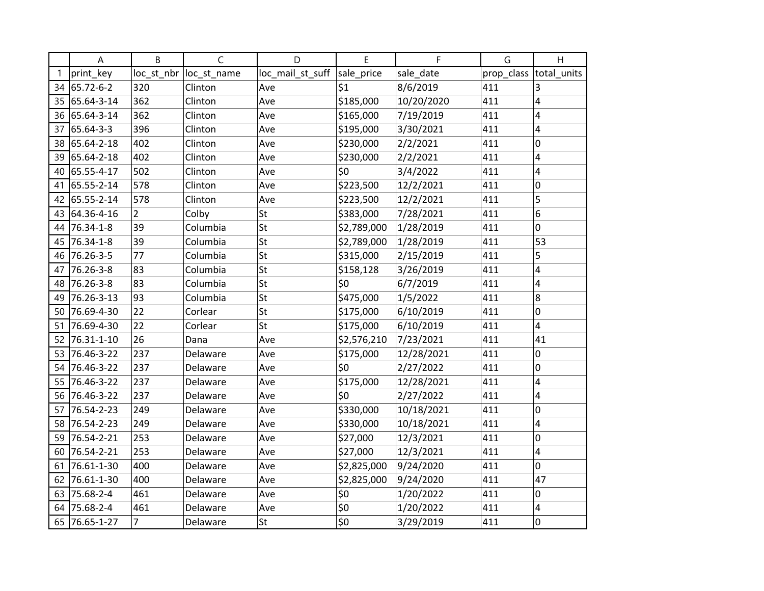|    | A             | B              | C           | D                | E           | F          | G          | H           |
|----|---------------|----------------|-------------|------------------|-------------|------------|------------|-------------|
|    | print_key     | loc_st_nbr     | loc_st_name | loc_mail_st_suff | sale_price  | sale_date  | prop_class | total_units |
|    | 34 65.72-6-2  | 320            | Clinton     | Ave              | \$1         | 8/6/2019   | 411        | 3           |
|    | 35 65.64-3-14 | 362            | Clinton     | Ave              | \$185,000   | 10/20/2020 | 411        | 4           |
|    | 36 65.64-3-14 | 362            | Clinton     | Ave              | \$165,000   | 7/19/2019  | 411        | 4           |
| 37 | 65.64-3-3     | 396            | Clinton     | Ave              | \$195,000   | 3/30/2021  | 411        | 4           |
| 38 | 65.64-2-18    | 402            | Clinton     | Ave              | \$230,000   | 2/2/2021   | 411        | 0           |
| 39 | 65.64-2-18    | 402            | Clinton     | Ave              | \$230,000   | 2/2/2021   | 411        | 4           |
|    | 40 65.55-4-17 | 502            | Clinton     | Ave              | \$0         | 3/4/2022   | 411        | 4           |
| 41 | 65.55-2-14    | 578            | Clinton     | Ave              | \$223,500   | 12/2/2021  | 411        | 0           |
|    | 42 65.55-2-14 | 578            | Clinton     | Ave              | \$223,500   | 12/2/2021  | 411        | 5           |
|    | 43 64.36-4-16 | $\overline{2}$ | Colby       | St               | \$383,000   | 7/28/2021  | 411        | 6           |
| 44 | 76.34-1-8     | 39             | Columbia    | St               | \$2,789,000 | 1/28/2019  | 411        | 0           |
| 45 | 76.34-1-8     | 39             | Columbia    | St               | \$2,789,000 | 1/28/2019  | 411        | 53          |
|    | 46 76.26-3-5  | 77             | Columbia    | St               | \$315,000   | 2/15/2019  | 411        | 5           |
| 47 | 76.26-3-8     | 83             | Columbia    | St               | \$158,128   | 3/26/2019  | 411        | 4           |
|    | 48 76.26-3-8  | 83             | Columbia    | St               | \$0         | 6/7/2019   | 411        | 4           |
| 49 | 76.26-3-13    | 93             | Columbia    | St               | \$475,000   | 1/5/2022   | 411        | 8           |
| 50 | 76.69-4-30    | 22             | Corlear     | St               | \$175,000   | 6/10/2019  | 411        | 0           |
| 51 | 76.69-4-30    | 22             | Corlear     | St               | \$175,000   | 6/10/2019  | 411        | 4           |
|    | 52 76.31-1-10 | 26             | Dana        | Ave              | \$2,576,210 | 7/23/2021  | 411        | 41          |
|    | 53 76.46-3-22 | 237            | Delaware    | Ave              | \$175,000   | 12/28/2021 | 411        | 0           |
| 54 | 76.46-3-22    | 237            | Delaware    | Ave              | \$0         | 2/27/2022  | 411        | 0           |
|    | 55 76.46-3-22 | 237            | Delaware    | Ave              | \$175,000   | 12/28/2021 | 411        | 4           |
| 56 | 76.46-3-22    | 237            | Delaware    | Ave              | \$0         | 2/27/2022  | 411        | 4           |
| 57 | 76.54-2-23    | 249            | Delaware    | Ave              | \$330,000   | 10/18/2021 | 411        | 0           |
|    | 58 76.54-2-23 | 249            | Delaware    | Ave              | \$330,000   | 10/18/2021 | 411        | 4           |
|    | 59 76.54-2-21 | 253            | Delaware    | Ave              | \$27,000    | 12/3/2021  | 411        | 0           |
|    | 60 76.54-2-21 | 253            | Delaware    | Ave              | \$27,000    | 12/3/2021  | 411        | 4           |
| 61 | 76.61-1-30    | 400            | Delaware    | Ave              | \$2,825,000 | 9/24/2020  | 411        | 0           |
| 62 | 76.61-1-30    | 400            | Delaware    | Ave              | \$2,825,000 | 9/24/2020  | 411        | 47          |
| 63 | 75.68-2-4     | 461            | Delaware    | Ave              | \$0         | 1/20/2022  | 411        | 0           |
| 64 | 75.68-2-4     | 461            | Delaware    | Ave              | \$0         | 1/20/2022  | 411        | 4           |
| 65 | 76.65-1-27    | $\overline{7}$ | Delaware    | St               | \$0         | 3/29/2019  | 411        | 0           |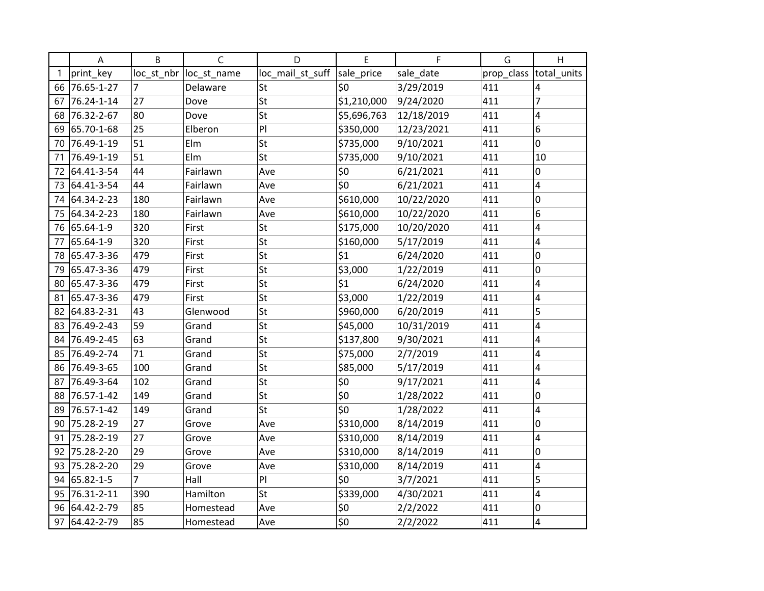|    | A             | B              | C           | D                | E                  | F          | G          | H              |
|----|---------------|----------------|-------------|------------------|--------------------|------------|------------|----------------|
|    | print key     | loc_st_nbr     | loc_st_name | loc_mail_st_suff | sale_price         | sale_date  | prop_class | total_units    |
|    | 66 76.65-1-27 | $\overline{7}$ | Delaware    | <b>St</b>        | \$0                | 3/29/2019  | 411        | 4              |
| 67 | 76.24-1-14    | 27             | Dove        | St               | \$1,210,000        | 9/24/2020  | 411        | $\overline{7}$ |
| 68 | 76.32-2-67    | 80             | Dove        | St               | \$5,696,763        | 12/18/2019 | 411        | 4              |
| 69 | 65.70-1-68    | 25             | Elberon     | PI               | \$350,000          | 12/23/2021 | 411        | 6              |
| 70 | 76.49-1-19    | 51             | Elm         | St               | \$735,000          | 9/10/2021  | 411        | 0              |
| 71 | 76.49-1-19    | 51             | Elm         | St               | \$735,000          | 9/10/2021  | 411        | 10             |
| 72 | 64.41-3-54    | 44             | Fairlawn    | Ave              | \$0                | 6/21/2021  | 411        | 0              |
|    | 73 64.41-3-54 | 44             | Fairlawn    | Ave              | \$0                | 6/21/2021  | 411        | 4              |
|    | 74 64.34-2-23 | 180            | Fairlawn    | Ave              | \$610,000          | 10/22/2020 | 411        | 0              |
|    | 75 64.34-2-23 | 180            | Fairlawn    | Ave              | \$610,000          | 10/22/2020 | 411        | 6              |
|    | 76 65.64-1-9  | 320            | First       | St               | \$175,000          | 10/20/2020 | 411        | 4              |
| 77 | 65.64-1-9     | 320            | First       | St               | \$160,000          | 5/17/2019  | 411        | 4              |
|    | 78 65.47-3-36 | 479            | First       | St               | \$1                | 6/24/2020  | 411        | 0              |
| 79 | 65.47-3-36    | 479            | First       | St               | \$3,000            | 1/22/2019  | 411        | 0              |
|    | 80 65.47-3-36 | 479            | First       | St               | \$1                | 6/24/2020  | 411        | 4              |
| 81 | 65.47-3-36    | 479            | First       | St               | \$3,000            | 1/22/2019  | 411        | 4              |
| 82 | 64.83-2-31    | 43             | Glenwood    | St               | \$960,000          | 6/20/2019  | 411        | 5              |
| 83 | 76.49-2-43    | 59             | Grand       | St               | \$45,000           | 10/31/2019 | 411        | 4              |
| 84 | 76.49-2-45    | 63             | Grand       | St               | \$137,800          | 9/30/2021  | 411        | 4              |
|    | 85 76.49-2-74 | 71             | Grand       | St               | \$75,000           | 2/7/2019   | 411        | 4              |
|    | 86 76.49-3-65 | 100            | Grand       | St               | \$85,000           | 5/17/2019  | 411        | 4              |
| 87 | 76.49-3-64    | 102            | Grand       | St               | \$0                | 9/17/2021  | 411        | 4              |
| 88 | 76.57-1-42    | 149            | Grand       | St               | $\overline{\xi_0}$ | 1/28/2022  | 411        | 0              |
| 89 | 76.57-1-42    | 149            | Grand       | St               | \$0                | 1/28/2022  | 411        | 4              |
| 90 | 75.28-2-19    | 27             | Grove       | Ave              | \$310,000          | 8/14/2019  | 411        | 0              |
| 91 | 75.28-2-19    | 27             | Grove       | Ave              | \$310,000          | 8/14/2019  | 411        | 4              |
| 92 | 75.28-2-20    | 29             | Grove       | Ave              | \$310,000          | 8/14/2019  | 411        | 0              |
| 93 | 75.28-2-20    | 29             | Grove       | Ave              | \$310,000          | 8/14/2019  | 411        | 4              |
| 94 | 65.82-1-5     | $\overline{7}$ | Hall        | PI               | \$0                | 3/7/2021   | 411        | 5              |
| 95 | 76.31-2-11    | 390            | Hamilton    | St               | \$339,000          | 4/30/2021  | 411        | 4              |
| 96 | 64.42-2-79    | 85             | Homestead   | Ave              | \$0                | 2/2/2022   | 411        | 0              |
| 97 | 64.42-2-79    | 85             | Homestead   | Ave              | \$0                | 2/2/2022   | 411        | 4              |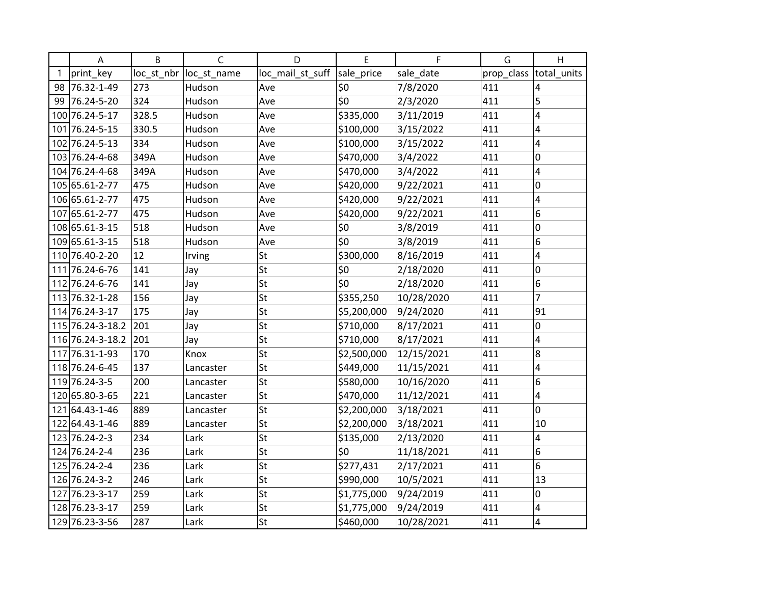| A                | B          | C           | D                | E           | F          | G          | H           |
|------------------|------------|-------------|------------------|-------------|------------|------------|-------------|
| print key        | loc_st_nbr | loc_st_name | loc_mail_st_suff | sale_price  | sale_date  | prop_class | total_units |
| 98 76.32-1-49    | 273        | Hudson      | Ave              | \$0         | 7/8/2020   | 411        | 4           |
| 99 76.24-5-20    | 324        | Hudson      | Ave              | \$0         | 2/3/2020   | 411        | 5           |
| 100 76.24-5-17   | 328.5      | Hudson      | Ave              | \$335,000   | 3/11/2019  | 411        | 4           |
| 101 76.24-5-15   | 330.5      | Hudson      | Ave              | \$100,000   | 3/15/2022  | 411        | 4           |
| 102 76.24-5-13   | 334        | Hudson      | Ave              | \$100,000   | 3/15/2022  | 411        | 4           |
| 103 76.24-4-68   | 349A       | Hudson      | Ave              | \$470,000   | 3/4/2022   | 411        | 0           |
| 104 76.24-4-68   | 349A       | Hudson      | Ave              | \$470,000   | 3/4/2022   | 411        | 4           |
| 105 65.61-2-77   | 475        | Hudson      | Ave              | \$420,000   | 9/22/2021  | 411        | 0           |
| 106 65.61-2-77   | 475        | Hudson      | Ave              | \$420,000   | 9/22/2021  | 411        | 4           |
| 107 65.61-2-77   | 475        | Hudson      | Ave              | \$420,000   | 9/22/2021  | 411        | 6           |
| 108 65.61-3-15   | 518        | Hudson      | Ave              | \$0         | 3/8/2019   | 411        | 0           |
| 109 65.61-3-15   | 518        | Hudson      | Ave              | \$0         | 3/8/2019   | 411        | 6           |
| 110 76.40-2-20   | 12         | Irving      | St               | \$300,000   | 8/16/2019  | 411        | 4           |
| 111 76.24-6-76   | 141        | Jay         | St               | \$0         | 2/18/2020  | 411        | 0           |
| 112 76.24-6-76   | 141        | Jay         | St               | \$0         | 2/18/2020  | 411        | 6           |
| 113 76.32-1-28   | 156        | Jay         | St               | \$355,250   | 10/28/2020 | 411        | 7           |
| 114 76.24-3-17   | 175        | Jay         | St               | \$5,200,000 | 9/24/2020  | 411        | 91          |
| 115 76.24-3-18.2 | 201        | Jay         | St               | \$710,000   | 8/17/2021  | 411        | 0           |
| 116 76.24-3-18.2 | 201        | Jay         | St               | \$710,000   | 8/17/2021  | 411        | 4           |
| 117 76.31-1-93   | 170        | Knox        | St               | \$2,500,000 | 12/15/2021 | 411        | 8           |
| 118 76.24-6-45   | 137        | Lancaster   | St               | \$449,000   | 11/15/2021 | 411        | 4           |
| 119 76.24-3-5    | 200        | Lancaster   | St               | \$580,000   | 10/16/2020 | 411        | 6           |
| 120 65.80-3-65   | 221        | Lancaster   | St               | \$470,000   | 11/12/2021 | 411        | 4           |
| 121 64.43-1-46   | 889        | Lancaster   | St               | \$2,200,000 | 3/18/2021  | 411        | 0           |
| 122 64.43-1-46   | 889        | Lancaster   | St               | \$2,200,000 | 3/18/2021  | 411        | 10          |
| 123 76.24-2-3    | 234        | Lark        | St               | \$135,000   | 2/13/2020  | 411        | 4           |
| 124 76.24-2-4    | 236        | Lark        | St               | \$0         | 11/18/2021 | 411        | 6           |
| 125 76.24-2-4    | 236        | Lark        | St               | \$277,431   | 2/17/2021  | 411        | 6           |
| 126 76.24-3-2    | 246        | Lark        | St               | \$990,000   | 10/5/2021  | 411        | 13          |
| 127 76.23-3-17   | 259        | Lark        | St               | \$1,775,000 | 9/24/2019  | 411        | 0           |
| 128 76.23-3-17   | 259        | Lark        | St               | \$1,775,000 | 9/24/2019  | 411        | 4           |
| 129 76.23-3-56   | 287        | Lark        | St               | \$460,000   | 10/28/2021 | 411        | 4           |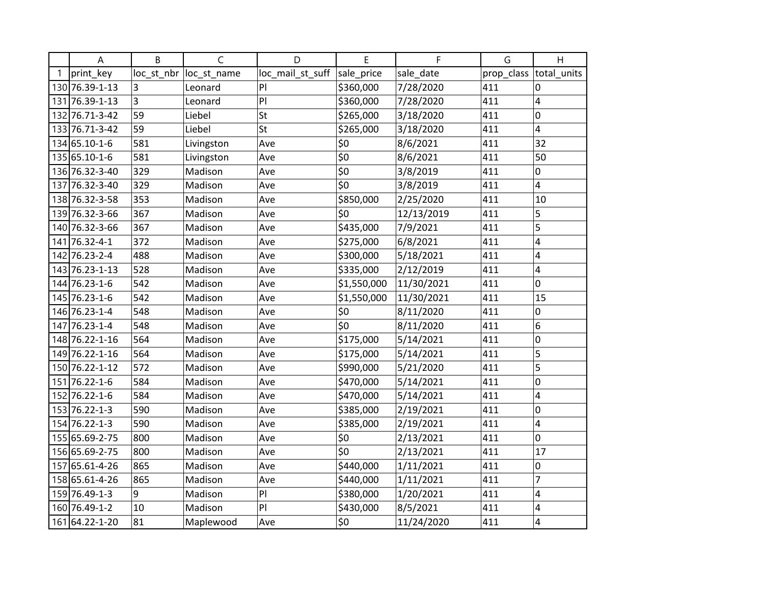| Α              | B          | C           | D                | E           | F          | G          | H           |
|----------------|------------|-------------|------------------|-------------|------------|------------|-------------|
| print key      | loc_st_nbr | loc_st_name | loc_mail_st_suff | sale_price  | sale_date  | prop_class | total_units |
| 130 76.39-1-13 | 3          | Leonard     | PI               | \$360,000   | 7/28/2020  | 411        | 0           |
| 131 76.39-1-13 | 3          | Leonard     | PI               | \$360,000   | 7/28/2020  | 411        | 4           |
| 132 76.71-3-42 | 59         | Liebel      | St               | \$265,000   | 3/18/2020  | 411        | 0           |
| 133 76.71-3-42 | 59         | Liebel      | St               | \$265,000   | 3/18/2020  | 411        | 4           |
| 134 65.10-1-6  | 581        | Livingston  | Ave              | \$0         | 8/6/2021   | 411        | 32          |
| 135 65.10-1-6  | 581        | Livingston  | Ave              | \$0         | 8/6/2021   | 411        | 50          |
| 136 76.32-3-40 | 329        | Madison     | Ave              | \$0         | 3/8/2019   | 411        | 0           |
| 137 76.32-3-40 | 329        | Madison     | Ave              | \$0         | 3/8/2019   | 411        | 4           |
| 138 76.32-3-58 | 353        | Madison     | Ave              | \$850,000   | 2/25/2020  | 411        | 10          |
| 139 76.32-3-66 | 367        | Madison     | Ave              | \$0         | 12/13/2019 | 411        | 5           |
| 140 76.32-3-66 | 367        | Madison     | Ave              | \$435,000   | 7/9/2021   | 411        | 5           |
| 141 76.32-4-1  | 372        | Madison     | Ave              | \$275,000   | 6/8/2021   | 411        | 4           |
| 142 76.23-2-4  | 488        | Madison     | Ave              | \$300,000   | 5/18/2021  | 411        | 4           |
| 143 76.23-1-13 | 528        | Madison     | Ave              | \$335,000   | 2/12/2019  | 411        | 4           |
| 144 76.23-1-6  | 542        | Madison     | Ave              | \$1,550,000 | 11/30/2021 | 411        | 0           |
| 145 76.23-1-6  | 542        | Madison     | Ave              | \$1,550,000 | 11/30/2021 | 411        | 15          |
| 146 76.23-1-4  | 548        | Madison     | Ave              | \$0         | 8/11/2020  | 411        | 0           |
| 147 76.23-1-4  | 548        | Madison     | Ave              | \$0         | 8/11/2020  | 411        | 6           |
| 148 76.22-1-16 | 564        | Madison     | Ave              | \$175,000   | 5/14/2021  | 411        | 0           |
| 149 76.22-1-16 | 564        | Madison     | Ave              | \$175,000   | 5/14/2021  | 411        | 5           |
| 150 76.22-1-12 | 572        | Madison     | Ave              | \$990,000   | 5/21/2020  | 411        | 5           |
| 151 76.22-1-6  | 584        | Madison     | Ave              | \$470,000   | 5/14/2021  | 411        | 0           |
| 152 76.22-1-6  | 584        | Madison     | Ave              | \$470,000   | 5/14/2021  | 411        | 4           |
| 153 76.22-1-3  | 590        | Madison     | Ave              | \$385,000   | 2/19/2021  | 411        | 0           |
| 154 76.22-1-3  | 590        | Madison     | Ave              | \$385,000   | 2/19/2021  | 411        | 4           |
| 155 65.69-2-75 | 800        | Madison     | Ave              | \$0         | 2/13/2021  | 411        | 0           |
| 156 65.69-2-75 | 800        | Madison     | Ave              | \$0         | 2/13/2021  | 411        | 17          |
| 157 65.61-4-26 | 865        | Madison     | Ave              | \$440,000   | 1/11/2021  | 411        | 0           |
| 158 65.61-4-26 | 865        | Madison     | Ave              | \$440,000   | 1/11/2021  | 411        | 7           |
| 159 76.49-1-3  | 9          | Madison     | PI               | \$380,000   | 1/20/2021  | 411        | 4           |
| 160 76.49-1-2  | 10         | Madison     | PI               | \$430,000   | 8/5/2021   | 411        | 4           |
| 161 64.22-1-20 | 81         | Maplewood   | Ave              | \$0         | 11/24/2020 | 411        | 4           |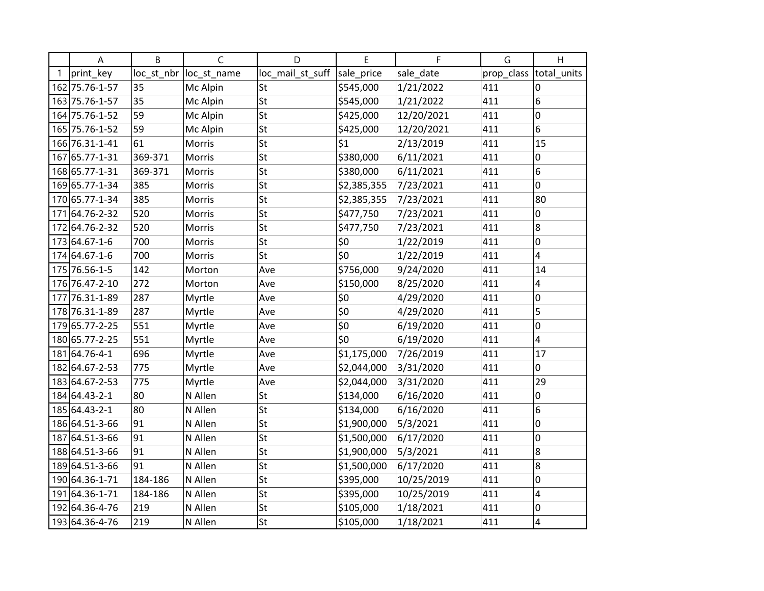| A              | B          | C           | D                | E           | F          | G          | H           |
|----------------|------------|-------------|------------------|-------------|------------|------------|-------------|
| print key      | loc_st_nbr | loc_st_name | loc_mail_st_suff | sale_price  | sale_date  | prop_class | total units |
| 162 75.76-1-57 | 35         | Mc Alpin    | <b>St</b>        | \$545,000   | 1/21/2022  | 411        | 0           |
| 163 75.76-1-57 | 35         | Mc Alpin    | St               | \$545,000   | 1/21/2022  | 411        | 6           |
| 164 75.76-1-52 | 59         | Mc Alpin    | St               | \$425,000   | 12/20/2021 | 411        | 0           |
| 165 75.76-1-52 | 59         | Mc Alpin    | St               | \$425,000   | 12/20/2021 | 411        | 6           |
| 166 76.31-1-41 | 61         | Morris      | St               | \$1         | 2/13/2019  | 411        | 15          |
| 167 65.77-1-31 | 369-371    | Morris      | St               | \$380,000   | 6/11/2021  | 411        | 0           |
| 168 65.77-1-31 | 369-371    | Morris      | St               | \$380,000   | 6/11/2021  | 411        | 6           |
| 169 65.77-1-34 | 385        | Morris      | St               | \$2,385,355 | 7/23/2021  | 411        | 0           |
| 170 65.77-1-34 | 385        | Morris      | St               | \$2,385,355 | 7/23/2021  | 411        | 80          |
| 171 64.76-2-32 | 520        | Morris      | St               | \$477,750   | 7/23/2021  | 411        | 0           |
| 172 64.76-2-32 | 520        | Morris      | St               | \$477,750   | 7/23/2021  | 411        | 8           |
| 173 64.67-1-6  | 700        | Morris      | St               | \$0         | 1/22/2019  | 411        | 0           |
| 174 64.67-1-6  | 700        | Morris      | St               | \$0         | 1/22/2019  | 411        | 4           |
| 175 76.56-1-5  | 142        | Morton      | Ave              | \$756,000   | 9/24/2020  | 411        | 14          |
| 176 76.47-2-10 | 272        | Morton      | Ave              | \$150,000   | 8/25/2020  | 411        | 4           |
| 177 76.31-1-89 | 287        | Myrtle      | Ave              | \$0         | 4/29/2020  | 411        | 0           |
| 178 76.31-1-89 | 287        | Myrtle      | Ave              | \$0         | 4/29/2020  | 411        | 5           |
| 179 65.77-2-25 | 551        | Myrtle      | Ave              | \$0         | 6/19/2020  | 411        | 0           |
| 180 65.77-2-25 | 551        | Myrtle      | Ave              | \$0         | 6/19/2020  | 411        | 4           |
| 181 64.76-4-1  | 696        | Myrtle      | Ave              | \$1,175,000 | 7/26/2019  | 411        | 17          |
| 182 64.67-2-53 | 775        | Myrtle      | Ave              | \$2,044,000 | 3/31/2020  | 411        | 0           |
| 183 64.67-2-53 | 775        | Myrtle      | Ave              | \$2,044,000 | 3/31/2020  | 411        | 29          |
| 184 64.43-2-1  | 80         | N Allen     | St               | \$134,000   | 6/16/2020  | 411        | 0           |
| 185 64.43-2-1  | 80         | N Allen     | St               | \$134,000   | 6/16/2020  | 411        | 6           |
| 186 64.51-3-66 | 91         | N Allen     | St               | \$1,900,000 | 5/3/2021   | 411        | 0           |
| 187 64.51-3-66 | 91         | N Allen     | St               | \$1,500,000 | 6/17/2020  | 411        | 0           |
| 188 64.51-3-66 | 91         | N Allen     | St               | \$1,900,000 | 5/3/2021   | 411        | 8           |
| 189 64.51-3-66 | 91         | N Allen     | St               | \$1,500,000 | 6/17/2020  | 411        | 8           |
| 190 64.36-1-71 | 184-186    | N Allen     | St               | \$395,000   | 10/25/2019 | 411        | 0           |
| 191 64.36-1-71 | 184-186    | N Allen     | St               | \$395,000   | 10/25/2019 | 411        | 4           |
| 192 64.36-4-76 | 219        | N Allen     | St               | \$105,000   | 1/18/2021  | 411        | 0           |
| 193 64.36-4-76 | 219        | N Allen     | St               | \$105,000   | 1/18/2021  | 411        | 4           |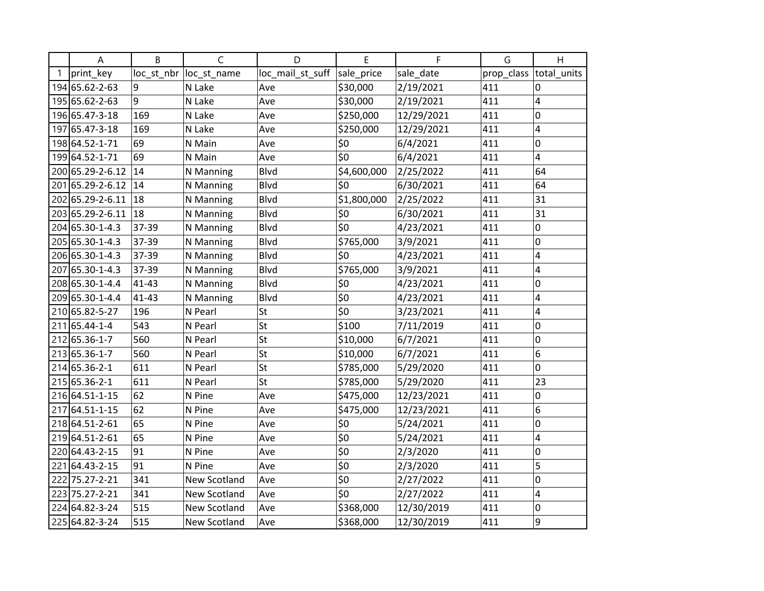| A                   | B          | C            | D                | E               | F          | G          | H           |
|---------------------|------------|--------------|------------------|-----------------|------------|------------|-------------|
| print_key           | loc_st_nbr | loc_st_name  | loc_mail_st_suff | sale_price      | sale_date  | prop_class | total_units |
| 194 65.62-2-63      | 9          | N Lake       | Ave              | \$30,000        | 2/19/2021  | 411        | $\Omega$    |
| 195 65.62-2-63      | 9          | N Lake       | Ave              | \$30,000        | 2/19/2021  | 411        | 4           |
| 196 65.47-3-18      | 169        | N Lake       | Ave              | \$250,000       | 12/29/2021 | 411        | 0           |
| 197 65.47-3-18      | 169        | N Lake       | Ave              | \$250,000       | 12/29/2021 | 411        | 4           |
| 198 64.52-1-71      | 69         | N Main       | Ave              | \$0             | 6/4/2021   | 411        | 0           |
| 199 64.52-1-71      | 69         | N Main       | Ave              | \$0             | 6/4/2021   | 411        | 4           |
| 200 65.29-2-6.12    | 14         | N Manning    | <b>Blvd</b>      | \$4,600,000     | 2/25/2022  | 411        | 64          |
| 201 65.29-2-6.12 14 |            | N Manning    | Blvd             | \$0             | 6/30/2021  | 411        | 64          |
| 202 65.29-2-6.11 18 |            | N Manning    | Blvd             | \$1,800,000     | 2/25/2022  | 411        | 31          |
| 203 65.29-2-6.11 18 |            | N Manning    | Blvd             | \$0             | 6/30/2021  | 411        | 31          |
| 204 65.30-1-4.3     | 37-39      | N Manning    | Blvd             | \$0             | 4/23/2021  | 411        | 0           |
| 205 65.30-1-4.3     | 37-39      | N Manning    | <b>Blvd</b>      | \$765,000       | 3/9/2021   | 411        | 0           |
| 206 65.30-1-4.3     | 37-39      | N Manning    | Blvd             | \$0             | 4/23/2021  | 411        | 4           |
| 207 65.30-1-4.3     | 37-39      | N Manning    | Blvd             | \$765,000       | 3/9/2021   | 411        | 4           |
| 208 65.30-1-4.4     | $41 - 43$  | N Manning    | Blvd             | \$0             | 4/23/2021  | 411        | 0           |
| 209 65.30-1-4.4     | 41-43      | N Manning    | Blvd             | $\overline{50}$ | 4/23/2021  | 411        | 4           |
| 210 65.82-5-27      | 196        | N Pearl      | St               | \$0             | 3/23/2021  | 411        | 4           |
| 211 65.44-1-4       | 543        | N Pearl      | St               | \$100           | 7/11/2019  | 411        | 0           |
| 212 65.36-1-7       | 560        | N Pearl      | St               | \$10,000        | 6/7/2021   | 411        | 0           |
| 213 65.36-1-7       | 560        | N Pearl      | St               | \$10,000        | 6/7/2021   | 411        | 6           |
| 214 65.36-2-1       | 611        | N Pearl      | St               | \$785,000       | 5/29/2020  | 411        | 0           |
| 215 65.36-2-1       | 611        | N Pearl      | St               | \$785,000       | 5/29/2020  | 411        | 23          |
| 216 64.51-1-15      | 62         | N Pine       | Ave              | \$475,000       | 12/23/2021 | 411        | 0           |
| 217 64.51 - 1 - 15  | 62         | N Pine       | Ave              | \$475,000       | 12/23/2021 | 411        | 6           |
| 218 64.51 - 2-61    | 65         | N Pine       | Ave              | \$0             | 5/24/2021  | 411        | 0           |
| 219 64.51 - 2-61    | 65         | N Pine       | Ave              | \$0             | 5/24/2021  | 411        | 4           |
| 220 64.43-2-15      | 91         | N Pine       | Ave              | \$0             | 2/3/2020   | 411        | 0           |
| 221 64.43-2-15      | 91         | N Pine       | Ave              | \$0             | 2/3/2020   | 411        | 5           |
| 222 75.27-2-21      | 341        | New Scotland | Ave              | \$0             | 2/27/2022  | 411        | 0           |
| 223 75.27-2-21      | 341        | New Scotland | Ave              | \$0             | 2/27/2022  | 411        | 4           |
| 224 64.82-3-24      | 515        | New Scotland | Ave              | \$368,000       | 12/30/2019 | 411        | 0           |
| 225 64.82-3-24      | 515        | New Scotland | Ave              | \$368,000       | 12/30/2019 | 411        | 9           |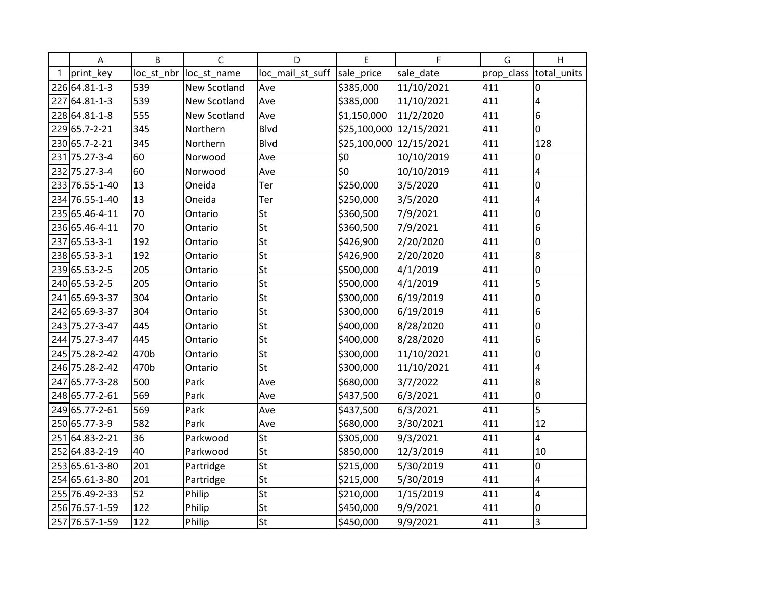| A              | B          | C                   | D                | E                       | F          | G          | H           |
|----------------|------------|---------------------|------------------|-------------------------|------------|------------|-------------|
| print_key      | loc_st_nbr | loc_st_name         | loc_mail_st_suff | sale_price              | sale_date  | prop_class | total_units |
| 226 64.81-1-3  | 539        | New Scotland        | Ave              | \$385,000               | 11/10/2021 | 411        | 0           |
| 227 64.81-1-3  | 539        | <b>New Scotland</b> | Ave              | \$385,000               | 11/10/2021 | 411        | 4           |
| 228 64.81-1-8  | 555        | New Scotland        | Ave              | \$1,150,000             | 11/2/2020  | 411        | 6           |
| 229 65.7-2-21  | 345        | Northern            | Blvd             | \$25,100,000 12/15/2021 |            | 411        | 0           |
| 230 65.7-2-21  | 345        | Northern            | Blvd             | \$25,100,000 12/15/2021 |            | 411        | 128         |
| 231 75.27-3-4  | 60         | Norwood             | Ave              | \$0                     | 10/10/2019 | 411        | 0           |
| 232 75.27-3-4  | 60         | Norwood             | Ave              | \$0                     | 10/10/2019 | 411        | 4           |
| 233 76.55-1-40 | 13         | Oneida              | Ter              | \$250,000               | 3/5/2020   | 411        | 0           |
| 234 76.55-1-40 | 13         | Oneida              | Ter              | \$250,000               | 3/5/2020   | 411        | 4           |
| 235 65.46-4-11 | 70         | Ontario             | St               | \$360,500               | 7/9/2021   | 411        | 0           |
| 236 65.46-4-11 | 70         | Ontario             | St               | \$360,500               | 7/9/2021   | 411        | 6           |
| 237 65.53-3-1  | 192        | Ontario             | St               | \$426,900               | 2/20/2020  | 411        | 0           |
| 238 65.53-3-1  | 192        | Ontario             | St               | \$426,900               | 2/20/2020  | 411        | 8           |
| 239 65.53-2-5  | 205        | Ontario             | St               | \$500,000               | 4/1/2019   | 411        | 0           |
| 240 65.53-2-5  | 205        | Ontario             | St               | \$500,000               | 4/1/2019   | 411        | 5           |
| 241 65.69-3-37 | 304        | Ontario             | St               | \$300,000               | 6/19/2019  | 411        | 0           |
| 242 65.69-3-37 | 304        | Ontario             | St               | \$300,000               | 6/19/2019  | 411        | 6           |
| 243 75.27-3-47 | 445        | Ontario             | St               | \$400,000               | 8/28/2020  | 411        | 0           |
| 244 75.27-3-47 | 445        | Ontario             | St               | \$400,000               | 8/28/2020  | 411        | 6           |
| 245 75.28-2-42 | 470b       | Ontario             | St               | \$300,000               | 11/10/2021 | 411        | 0           |
| 246 75.28-2-42 | 470b       | Ontario             | St               | \$300,000               | 11/10/2021 | 411        | 4           |
| 247 65.77-3-28 | 500        | Park                | Ave              | \$680,000               | 3/7/2022   | 411        | 8           |
| 248 65.77-2-61 | 569        | Park                | Ave              | \$437,500               | 6/3/2021   | 411        | 0           |
| 249 65.77-2-61 | 569        | Park                | Ave              | \$437,500               | 6/3/2021   | 411        | 5           |
| 250 65.77-3-9  | 582        | Park                | Ave              | \$680,000               | 3/30/2021  | 411        | 12          |
| 251 64.83-2-21 | 36         | Parkwood            | St               | \$305,000               | 9/3/2021   | 411        | 4           |
| 252 64.83-2-19 | 40         | Parkwood            | St               | \$850,000               | 12/3/2019  | 411        | 10          |
| 253 65.61-3-80 | 201        | Partridge           | St               | \$215,000               | 5/30/2019  | 411        | 0           |
| 254 65.61-3-80 | 201        | Partridge           | St               | \$215,000               | 5/30/2019  | 411        | 4           |
| 255 76.49-2-33 | 52         | Philip              | St               | \$210,000               | 1/15/2019  | 411        | 4           |
| 256 76.57-1-59 | 122        | Philip              | St               | \$450,000               | 9/9/2021   | 411        | 0           |
| 257 76.57-1-59 | 122        | Philip              | St               | \$450,000               | 9/9/2021   | 411        | 3           |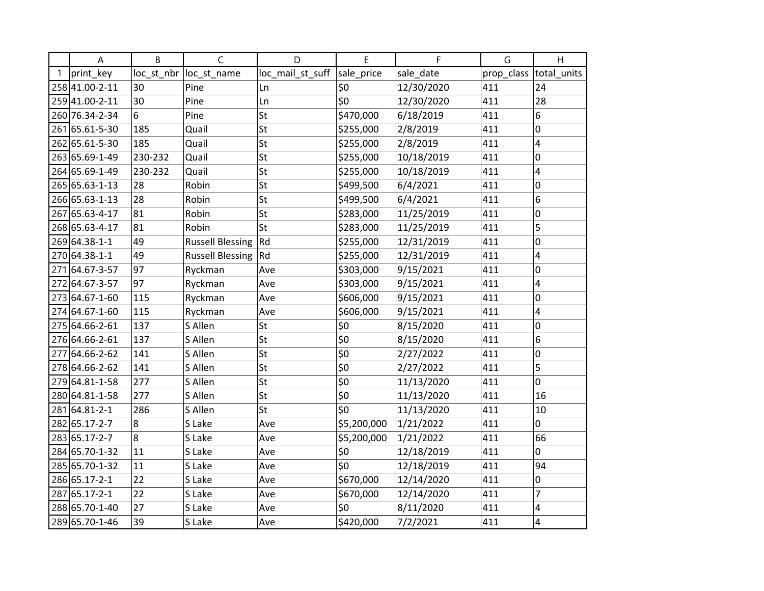| Α              | B          | C                       | D                | E                  | F          | G          | H              |
|----------------|------------|-------------------------|------------------|--------------------|------------|------------|----------------|
| print key      | loc_st_nbr | loc_st_name             | loc_mail_st_suff | sale_price         | sale_date  | prop_class | total_units    |
| 258 41.00-2-11 | 30         | Pine                    | Ln               | \$0                | 12/30/2020 | 411        | 24             |
| 259 41.00-2-11 | 30         | Pine                    | Ln               | \$0                | 12/30/2020 | 411        | 28             |
| 260 76.34-2-34 | 6          | Pine                    | St               | \$470,000          | 6/18/2019  | 411        | 6              |
| 261 65.61-5-30 | 185        | Quail                   | St               | \$255,000          | 2/8/2019   | 411        | 0              |
| 262 65.61-5-30 | 185        | Quail                   | St               | \$255,000          | 2/8/2019   | 411        | 4              |
| 263 65.69-1-49 | 230-232    | Quail                   | St               | \$255,000          | 10/18/2019 | 411        | 0              |
| 264 65.69-1-49 | 230-232    | Quail                   | St               | \$255,000          | 10/18/2019 | 411        | 4              |
| 265 65.63-1-13 | 28         | Robin                   | St               | \$499,500          | 6/4/2021   | 411        | 0              |
| 266 65.63-1-13 | 28         | Robin                   | St               | \$499,500          | 6/4/2021   | 411        | 6              |
| 267 65.63-4-17 | 81         | Robin                   | St               | \$283,000          | 11/25/2019 | 411        | 0              |
| 268 65.63-4-17 | 81         | Robin                   | St               | \$283,000          | 11/25/2019 | 411        | 5              |
| 269 64.38-1-1  | 49         | <b>Russell Blessing</b> | Rd               | \$255,000          | 12/31/2019 | 411        | 0              |
| 270 64.38-1-1  | 49         | <b>Russell Blessing</b> | Rd               | \$255,000          | 12/31/2019 | 411        | 4              |
| 271 64.67-3-57 | 97         | Ryckman                 | Ave              | \$303,000          | 9/15/2021  | 411        | 0              |
| 272 64.67-3-57 | 97         | Ryckman                 | Ave              | \$303,000          | 9/15/2021  | 411        | 4              |
| 273 64.67-1-60 | 115        | Ryckman                 | Ave              | \$606,000          | 9/15/2021  | 411        | 0              |
| 274 64.67-1-60 | 115        | Ryckman                 | Ave              | \$606,000          | 9/15/2021  | 411        | 4              |
| 275 64.66-2-61 | 137        | S Allen                 | St               | \$0                | 8/15/2020  | 411        | 0              |
| 276 64.66-2-61 | 137        | S Allen                 | St               | \$0                | 8/15/2020  | 411        | 6              |
| 277 64.66-2-62 | 141        | S Allen                 | St               | \$0                | 2/27/2022  | 411        | 0              |
| 278 64.66-2-62 | 141        | S Allen                 | St               | \$0                | 2/27/2022  | 411        | 5              |
| 279 64.81-1-58 | 277        | S Allen                 | St               | \$0                | 11/13/2020 | 411        | 0              |
| 280 64.81-1-58 | 277        | S Allen                 | St               | $\overline{\xi_0}$ | 11/13/2020 | 411        | 16             |
| 281 64.81-2-1  | 286        | S Allen                 | St               | \$0                | 11/13/2020 | 411        | 10             |
| 282 65.17-2-7  | 8          | S Lake                  | Ave              | \$5,200,000        | 1/21/2022  | 411        | $\overline{0}$ |
| 283 65.17-2-7  | 8          | S Lake                  | Ave              | \$5,200,000        | 1/21/2022  | 411        | 66             |
| 284 65.70-1-32 | 11         | S Lake                  | Ave              | \$0                | 12/18/2019 | 411        | 0              |
| 285 65.70-1-32 | 11         | S Lake                  | Ave              | \$0                | 12/18/2019 | 411        | 94             |
| 286 65.17-2-1  | 22         | S Lake                  | Ave              | \$670,000          | 12/14/2020 | 411        | 0              |
| 287 65.17-2-1  | 22         | S Lake                  | Ave              | \$670,000          | 12/14/2020 | 411        | 7              |
| 288 65.70-1-40 | 27         | S Lake                  | Ave              | \$0                | 8/11/2020  | 411        | 4              |
| 289 65.70-1-46 | 39         | S Lake                  | Ave              | \$420,000          | 7/2/2021   | 411        | 4              |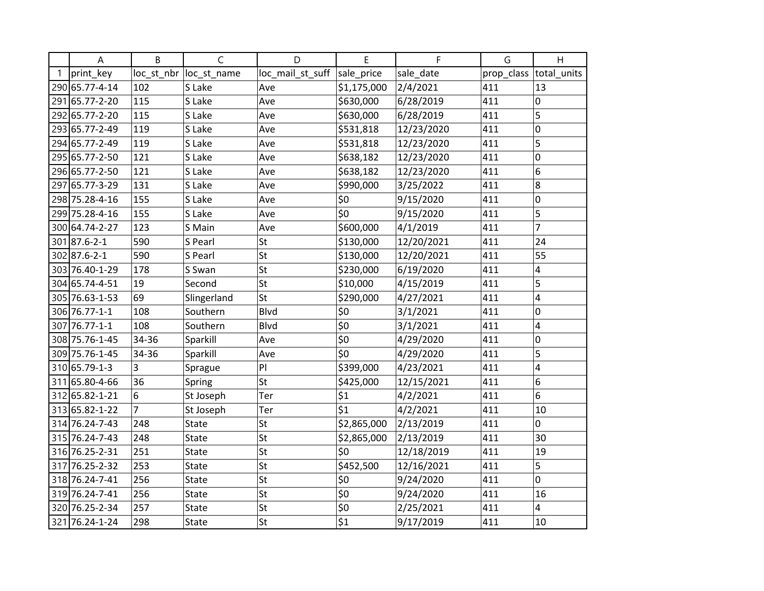|   | $\overline{A}$ | B     | C                       | D                | E           | F          | G          | H              |
|---|----------------|-------|-------------------------|------------------|-------------|------------|------------|----------------|
| 1 | print_key      |       | loc_st_nbr  loc_st_name | loc_mail_st_suff | sale_price  | sale_date  | prop_class | total_units    |
|   | 290 65.77-4-14 | 102   | S Lake                  | Ave              | \$1,175,000 | 2/4/2021   | 411        | 13             |
|   | 291 65.77-2-20 | 115   | S Lake                  | Ave              | \$630,000   | 6/28/2019  | 411        | 0              |
|   | 292 65.77-2-20 | 115   | S Lake                  | Ave              | \$630,000   | 6/28/2019  | 411        | 5              |
|   | 293 65.77-2-49 | 119   | S Lake                  | Ave              | \$531,818   | 12/23/2020 | 411        | 0              |
|   | 294 65.77-2-49 | 119   | S Lake                  | Ave              | \$531,818   | 12/23/2020 | 411        | 5              |
|   | 295 65.77-2-50 | 121   | S Lake                  | Ave              | \$638,182   | 12/23/2020 | 411        | 0              |
|   | 296 65.77-2-50 | 121   | S Lake                  | Ave              | \$638,182   | 12/23/2020 | 411        | 6              |
|   | 297 65.77-3-29 | 131   | S Lake                  | Ave              | \$990,000   | 3/25/2022  | 411        | 8              |
|   | 298 75.28-4-16 | 155   | S Lake                  | Ave              | \$0         | 9/15/2020  | 411        | 0              |
|   | 299 75.28-4-16 | 155   | S Lake                  | Ave              | \$0         | 9/15/2020  | 411        | 5              |
|   | 300 64.74-2-27 | 123   | S Main                  | Ave              | \$600,000   | 4/1/2019   | 411        | $\overline{7}$ |
|   | 301 87.6-2-1   | 590   | S Pearl                 | St               | \$130,000   | 12/20/2021 | 411        | 24             |
|   | 302 87.6-2-1   | 590   | S Pearl                 | St               | \$130,000   | 12/20/2021 | 411        | 55             |
|   | 303 76.40-1-29 | 178   | S Swan                  | St               | \$230,000   | 6/19/2020  | 411        | 4              |
|   | 304 65.74-4-51 | 19    | Second                  | St               | \$10,000    | 4/15/2019  | 411        | 5              |
|   | 305 76.63-1-53 | 69    | Slingerland             | St               | \$290,000   | 4/27/2021  | 411        | 4              |
|   | 306 76.77-1-1  | 108   | Southern                | <b>Blvd</b>      | \$0         | 3/1/2021   | 411        | 0              |
|   | 307 76.77-1-1  | 108   | Southern                | Blvd             | \$0         | 3/1/2021   | 411        | 4              |
|   | 308 75.76-1-45 | 34-36 | Sparkill                | Ave              | \$0         | 4/29/2020  | 411        | 0              |
|   | 309 75.76-1-45 | 34-36 | Sparkill                | Ave              | \$0         | 4/29/2020  | 411        | 5              |
|   | 310 65.79-1-3  | 3     | Sprague                 | PI               | \$399,000   | 4/23/2021  | 411        | 4              |
|   | 311 65.80-4-66 | 36    | Spring                  | St               | \$425,000   | 12/15/2021 | 411        | 6              |
|   | 312 65.82-1-21 | 6     | St Joseph               | Ter              | \$1         | 4/2/2021   | 411        | 6              |
|   | 313 65.82-1-22 | 7     | St Joseph               | Ter              | \$1         | 4/2/2021   | 411        | 10             |
|   | 314 76.24-7-43 | 248   | State                   | St               | \$2,865,000 | 2/13/2019  | 411        | 0              |
|   | 315 76.24-7-43 | 248   | <b>State</b>            | St               | \$2,865,000 | 2/13/2019  | 411        | 30             |
|   | 316 76.25-2-31 | 251   | State                   | St               | \$0         | 12/18/2019 | 411        | 19             |
|   | 317 76.25-2-32 | 253   | State                   | St               | \$452,500   | 12/16/2021 | 411        | 5              |
|   | 318 76.24-7-41 | 256   | State                   | St               | \$0         | 9/24/2020  | 411        | 0              |
|   | 319 76.24-7-41 | 256   | State                   | St               | \$0         | 9/24/2020  | 411        | 16             |
|   | 320 76.25-2-34 | 257   | State                   | St               | \$0         | 2/25/2021  | 411        | $\overline{4}$ |
|   | 321 76.24-1-24 | 298   | State                   | St               | \$1         | 9/17/2019  | 411        | 10             |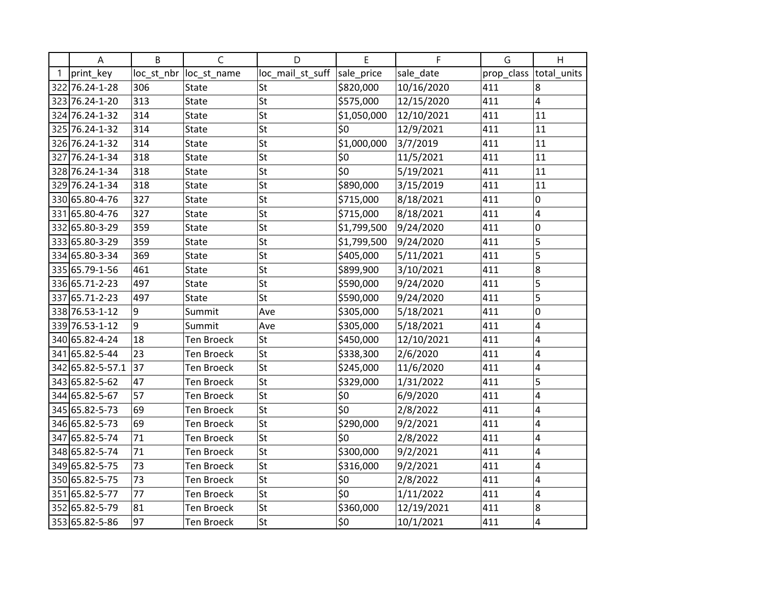| A                | B          | C                 | D                | E           | F          | G          | H           |
|------------------|------------|-------------------|------------------|-------------|------------|------------|-------------|
| print key        | loc_st_nbr | loc_st_name       | loc_mail_st_suff | sale_price  | sale_date  | prop_class | total_units |
| 322 76.24-1-28   | 306        | <b>State</b>      | <b>St</b>        | \$820,000   | 10/16/2020 | 411        | 8           |
| 323 76.24-1-20   | 313        | State             | St               | \$575,000   | 12/15/2020 | 411        | 4           |
| 324 76.24-1-32   | 314        | State             | St               | \$1,050,000 | 12/10/2021 | 411        | 11          |
| 325 76.24-1-32   | 314        | State             | St               | \$0         | 12/9/2021  | 411        | 11          |
| 326 76.24-1-32   | 314        | State             | St               | \$1,000,000 | 3/7/2019   | 411        | 11          |
| 327 76.24-1-34   | 318        | State             | St               | \$0         | 11/5/2021  | 411        | 11          |
| 328 76.24-1-34   | 318        | State             | St               | \$0         | 5/19/2021  | 411        | 11          |
| 329 76.24-1-34   | 318        | State             | St               | \$890,000   | 3/15/2019  | 411        | 11          |
| 330 65.80-4-76   | 327        | State             | St               | \$715,000   | 8/18/2021  | 411        | 0           |
| 331 65.80-4-76   | 327        | State             | St               | \$715,000   | 8/18/2021  | 411        | 4           |
| 332 65.80-3-29   | 359        | State             | St               | \$1,799,500 | 9/24/2020  | 411        | 0           |
| 333 65.80-3-29   | 359        | State             | St               | \$1,799,500 | 9/24/2020  | 411        | 5           |
| 334 65.80-3-34   | 369        | State             | St               | \$405,000   | 5/11/2021  | 411        | 5           |
| 335 65.79-1-56   | 461        | State             | St               | \$899,900   | 3/10/2021  | 411        | 8           |
| 336 65.71-2-23   | 497        | State             | St               | \$590,000   | 9/24/2020  | 411        | 5           |
| 337 65.71-2-23   | 497        | State             | St               | \$590,000   | 9/24/2020  | 411        | 5           |
| 338 76.53-1-12   | 9          | Summit            | Ave              | \$305,000   | 5/18/2021  | 411        | 0           |
| 339 76.53-1-12   | 9          | Summit            | Ave              | \$305,000   | 5/18/2021  | 411        | 4           |
| 340 65.82-4-24   | 18         | <b>Ten Broeck</b> | St               | \$450,000   | 12/10/2021 | 411        | 4           |
| 341 65.82-5-44   | 23         | Ten Broeck        | St               | \$338,300   | 2/6/2020   | 411        | 4           |
| 342 65.82-5-57.1 | 37         | Ten Broeck        | St               | \$245,000   | 11/6/2020  | 411        | 4           |
| 343 65.82-5-62   | 47         | <b>Ten Broeck</b> | St               | \$329,000   | 1/31/2022  | 411        | 5           |
| 344 65.82-5-67   | 57         | Ten Broeck        | St               | \$0         | 6/9/2020   | 411        | 4           |
| 345 65.82-5-73   | 69         | <b>Ten Broeck</b> | St               | \$0         | 2/8/2022   | 411        | 4           |
| 346 65.82-5-73   | 69         | <b>Ten Broeck</b> | St               | \$290,000   | 9/2/2021   | 411        | 4           |
| 347 65.82-5-74   | 71         | Ten Broeck        | St               | \$0         | 2/8/2022   | 411        | 4           |
| 348 65.82-5-74   | 71         | Ten Broeck        | St               | \$300,000   | 9/2/2021   | 411        | 4           |
| 349 65.82-5-75   | 73         | <b>Ten Broeck</b> | St               | \$316,000   | 9/2/2021   | 411        | 4           |
| 350 65.82-5-75   | 73         | <b>Ten Broeck</b> | St               | \$0         | 2/8/2022   | 411        | 4           |
| 351 65.82-5-77   | 77         | <b>Ten Broeck</b> | St               | \$0         | 1/11/2022  | 411        | 4           |
| 352 65.82-5-79   | 81         | <b>Ten Broeck</b> | St               | \$360,000   | 12/19/2021 | 411        | 8           |
| 353 65.82-5-86   | 97         | Ten Broeck        | St               | \$0         | 10/1/2021  | 411        | 4           |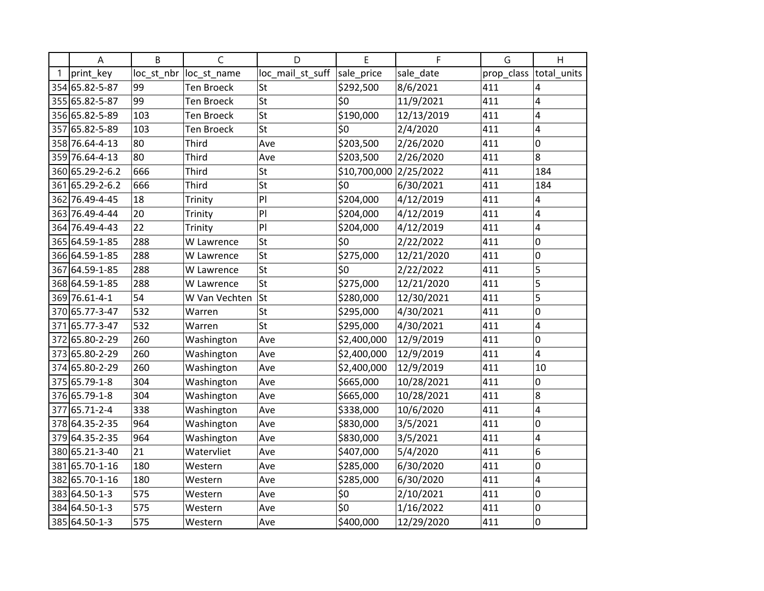| A                | B          | C                 | D                | E                      | F          | G          | H           |
|------------------|------------|-------------------|------------------|------------------------|------------|------------|-------------|
| print_key        | loc_st_nbr | loc_st_name       | loc_mail_st_suff | sale_price             | sale_date  | prop_class | total_units |
| 354 65.82-5-87   | 99         | <b>Ten Broeck</b> | St               | \$292,500              | 8/6/2021   | 411        | 4           |
| 355 65.82-5-87   | 99         | Ten Broeck        | St               | \$0                    | 11/9/2021  | 411        | 4           |
| 356 65.82-5-89   | 103        | <b>Ten Broeck</b> | St               | \$190,000              | 12/13/2019 | 411        | 4           |
| 357 65.82-5-89   | 103        | Ten Broeck        | St               | \$0                    | 2/4/2020   | 411        | 4           |
| 358 76.64-4-13   | 80         | <b>Third</b>      | Ave              | \$203,500              | 2/26/2020  | 411        | 0           |
| 359 76.64-4-13   | 80         | Third             | Ave              | \$203,500              | 2/26/2020  | 411        | 8           |
| 360 65.29-2-6.2  | 666        | <b>Third</b>      | St               | \$10,700,000 2/25/2022 |            | 411        | 184         |
| 361 65.29-2-6.2  | 666        | <b>Third</b>      | St               | \$0                    | 6/30/2021  | 411        | 184         |
| 362 76.49-4-45   | 18         | Trinity           | PI               | \$204,000              | 4/12/2019  | 411        | 4           |
| 363 76.49-4-44   | 20         | Trinity           | PI               | \$204,000              | 4/12/2019  | 411        | 4           |
| 364 76.49-4-43   | 22         | Trinity           | PI               | \$204,000              | 4/12/2019  | 411        | 4           |
| 365 64.59-1-85   | 288        | W Lawrence        | St               | \$0                    | 2/22/2022  | 411        | 0           |
| 366 64.59-1-85   | 288        | W Lawrence        | St               | \$275,000              | 12/21/2020 | 411        | 0           |
| 367 64.59-1-85   | 288        | W Lawrence        | St               | \$0                    | 2/22/2022  | 411        | 5           |
| 368 64.59-1-85   | 288        | W Lawrence        | St               | \$275,000              | 12/21/2020 | 411        | 5           |
| 369 76.61-4-1    | 54         | W Van Vechten     | St               | \$280,000              | 12/30/2021 | 411        | 5           |
| 370 65.77-3-47   | 532        | Warren            | St               | \$295,000              | 4/30/2021  | 411        | 0           |
| 371 65.77-3-47   | 532        | Warren            | St               | \$295,000              | 4/30/2021  | 411        | 4           |
| 372 65.80-2-29   | 260        | Washington        | Ave              | \$2,400,000            | 12/9/2019  | 411        | 0           |
| 373 65.80-2-29   | 260        | Washington        | Ave              | \$2,400,000            | 12/9/2019  | 411        | 4           |
| 374 65.80-2-29   | 260        | Washington        | Ave              | \$2,400,000            | 12/9/2019  | 411        | 10          |
| 375 65.79-1-8    | 304        | Washington        | Ave              | \$665,000              | 10/28/2021 | 411        | 0           |
| 376 65.79-1-8    | 304        | Washington        | Ave              | \$665,000              | 10/28/2021 | 411        | 8           |
| 377 65.71-2-4    | 338        | Washington        | Ave              | \$338,000              | 10/6/2020  | 411        | 4           |
| 378 64.35 - 2-35 | 964        | Washington        | Ave              | \$830,000              | 3/5/2021   | 411        | 0           |
| 379 64.35-2-35   | 964        | Washington        | Ave              | \$830,000              | 3/5/2021   | 411        | 4           |
| 380 65.21-3-40   | 21         | Watervliet        | Ave              | \$407,000              | 5/4/2020   | 411        | 6           |
| 381 65.70-1-16   | 180        | Western           | Ave              | \$285,000              | 6/30/2020  | 411        | 0           |
| 382 65.70-1-16   | 180        | Western           | Ave              | \$285,000              | 6/30/2020  | 411        | 4           |
| 383 64.50-1-3    | 575        | Western           | Ave              | \$0                    | 2/10/2021  | 411        | 0           |
| 384 64.50-1-3    | 575        | Western           | Ave              | \$0                    | 1/16/2022  | 411        | 0           |
| 385 64.50-1-3    | 575        | Western           | Ave              | \$400,000              | 12/29/2020 | 411        | 0           |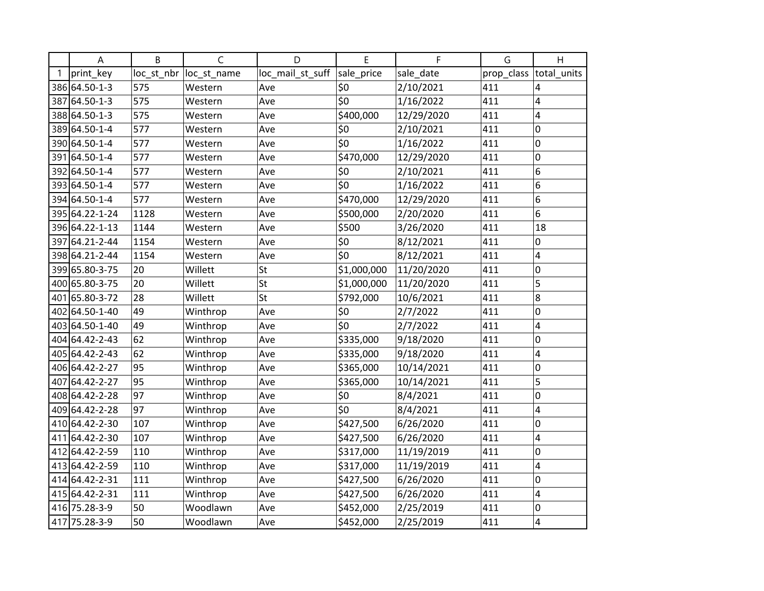| A                | B          | C           | D                | E           | F          | G          | H           |
|------------------|------------|-------------|------------------|-------------|------------|------------|-------------|
| print_key        | loc_st_nbr | loc_st_name | loc_mail_st_suff | sale_price  | sale_date  | prop_class | total_units |
| 386 64.50-1-3    | 575        | Western     | Ave              | \$0         | 2/10/2021  | 411        | 4           |
| 387 64.50-1-3    | 575        | Western     | Ave              | \$0         | 1/16/2022  | 411        | 4           |
| 388 64.50-1-3    | 575        | Western     | Ave              | \$400,000   | 12/29/2020 | 411        | 4           |
| 389 64.50-1-4    | 577        | Western     | Ave              | \$0         | 2/10/2021  | 411        | 0           |
| 390 64.50-1-4    | 577        | Western     | Ave              | \$0         | 1/16/2022  | 411        | 0           |
| 391 64.50-1-4    | 577        | Western     | Ave              | \$470,000   | 12/29/2020 | 411        | 0           |
| 392 64.50-1-4    | 577        | Western     | Ave              | \$0         | 2/10/2021  | 411        | 6           |
| 393 64.50-1-4    | 577        | Western     | Ave              | \$0         | 1/16/2022  | 411        | 6           |
| 394 64.50-1-4    | 577        | Western     | Ave              | \$470,000   | 12/29/2020 | 411        | 6           |
| 395 64.22-1-24   | 1128       | Western     | Ave              | \$500,000   | 2/20/2020  | 411        | 6           |
| 396 64.22-1-13   | 1144       | Western     | Ave              | \$500       | 3/26/2020  | 411        | 18          |
| 397 64.21 - 2-44 | 1154       | Western     | Ave              | \$0         | 8/12/2021  | 411        | 0           |
| 398 64.21-2-44   | 1154       | Western     | Ave              | \$0         | 8/12/2021  | 411        | 4           |
| 399 65.80-3-75   | 20         | Willett     | St               | \$1,000,000 | 11/20/2020 | 411        | 0           |
| 400 65.80-3-75   | 20         | Willett     | St               | \$1,000,000 | 11/20/2020 | 411        | 5           |
| 401 65.80-3-72   | 28         | Willett     | St               | \$792,000   | 10/6/2021  | 411        | 8           |
| 402 64.50-1-40   | 49         | Winthrop    | Ave              | \$0         | 2/7/2022   | 411        | 0           |
| 403 64.50-1-40   | 49         | Winthrop    | Ave              | \$0         | 2/7/2022   | 411        | 4           |
| 404 64.42-2-43   | 62         | Winthrop    | Ave              | \$335,000   | 9/18/2020  | 411        | 0           |
| 405 64.42-2-43   | 62         | Winthrop    | Ave              | \$335,000   | 9/18/2020  | 411        | 4           |
| 406 64.42-2-27   | 95         | Winthrop    | Ave              | \$365,000   | 10/14/2021 | 411        | 0           |
| 407 64.42-2-27   | 95         | Winthrop    | Ave              | \$365,000   | 10/14/2021 | 411        | 5           |
| 408 64.42-2-28   | 97         | Winthrop    | Ave              | \$0         | 8/4/2021   | 411        | 0           |
| 409 64.42-2-28   | 97         | Winthrop    | Ave              | \$0         | 8/4/2021   | 411        | 4           |
| 410 64.42-2-30   | 107        | Winthrop    | Ave              | \$427,500   | 6/26/2020  | 411        | 0           |
| 411 64.42-2-30   | 107        | Winthrop    | Ave              | \$427,500   | 6/26/2020  | 411        | 4           |
| 412 64.42-2-59   | 110        | Winthrop    | Ave              | \$317,000   | 11/19/2019 | 411        | 0           |
| 413 64.42-2-59   | 110        | Winthrop    | Ave              | \$317,000   | 11/19/2019 | 411        | 4           |
| 414 64.42-2-31   | 111        | Winthrop    | Ave              | \$427,500   | 6/26/2020  | 411        | 0           |
| 415 64.42-2-31   | 111        | Winthrop    | Ave              | \$427,500   | 6/26/2020  | 411        | 4           |
| 416 75.28-3-9    | 50         | Woodlawn    | Ave              | \$452,000   | 2/25/2019  | 411        | 0           |
| 417 75.28-3-9    | 50         | Woodlawn    | Ave              | \$452,000   | 2/25/2019  | 411        | 4           |